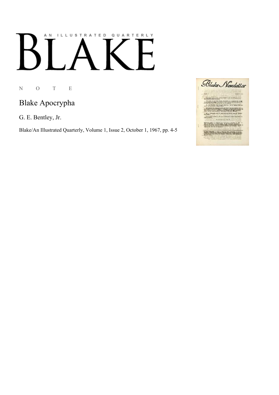## AN ILLUSTRATED QUARTERLY K  $\blacksquare$

N O T E

## Blake Apocrypha

G. E. Bentley, Jr.

Blake/An Illustrated Quarterly, Volume 1, Issue 2, October 1, 1967, pp. 4-5

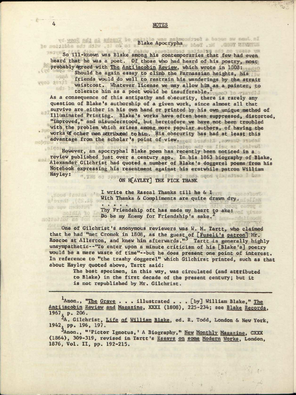## *hi* 1 A L Apocrat Canada

So ill-known was Blake among his contemporaries that few had even heard that he was a poet. Of those who had heard of his poetry, most probably egreed with The Antijacobin Review, which wrote in 1803:

Should he again essay to climb the Parnassian heights, his friends would do well to restrain his wanderings by the strait vuos saila waistcoat. Whatever license we may allow him as a painter, to tolerate him as a poet would be insufferable.<sup>1</sup> snis. ba

As a consequence of this antipathy and obscurity, there is rarely any question of Blake's authorship of a given work, since almost all that survive are.either in his own hand or printed by his own unique method of Illuminated Printing. Blake's works have often been suppressed, distorted, "improved," and misunderstood, but heretofore we have not been troubled with the problem which arises among more popular authors, of having the works of other men attributed to him. His obscurity has had at least this advantage from the scholar's point of view. Dended has a system include

However, an apocryphal Blake poem has recently been noticed in a review published just over a century ago. In his 1863 biography of Blake, Alexander Gilchrist had quoted a number of Blake's doggerel poems from his Notebook expressing his resentment against his erstwhile patron William Hayley: ". I'M OS JESTON H[AYLEY] THE PICK THANK

I write the Rascal Thanks till he & I With Thanks & Compliments are quite drawn dry.

Thy Friendship oft has made my heart to ake: Do be my Enemy for Friendship's sake.

One of Gilchrist's anonymous reviewers was W. M. Tartt, who claimed that he had "met Cromek in 1808, as the guest of [Fuseli's patron] Mr. Roscoe at Allerton, and knew him afterwards."<sup>3</sup> Tartt is generally highly unsympathetic--"To enter upon a minute criticism of his [Blake's] poetry would be a mere waste of time"—but he does present one point of interest. In reference to "the trashy doggerel" which Gilchirst printed, such as that about Hayley quoted above, Tartt said:

> The best specimen, in this way, was circulated (and attributed to Blake) in the first decade of the present century; but it is not republished by Mr. Gilchrist.

Anon., "The Grave . . . illustrated . . . [by] William Blake," The Antijacobin Review and Magazine, XXXI (1808), 225-234; see Blake Records, 1967. p. 206.

\*A. Gilchrist, Life a£ William Blake, ed. R. Todd, London & New York, 1942. pp. 196, 197.

3Anon., "'Pictor Ignotus,' A Biography," New Monthly Magazine, CXXX (1864), 309-319, revised in Tartt's Essays on some Modern Works. London, 1876, Vol. II, pp. 192-215.

aspa

dood desami a'n atbusda (28.4%) me. any marketing" toldia to

nolasier no don

 $15.76$